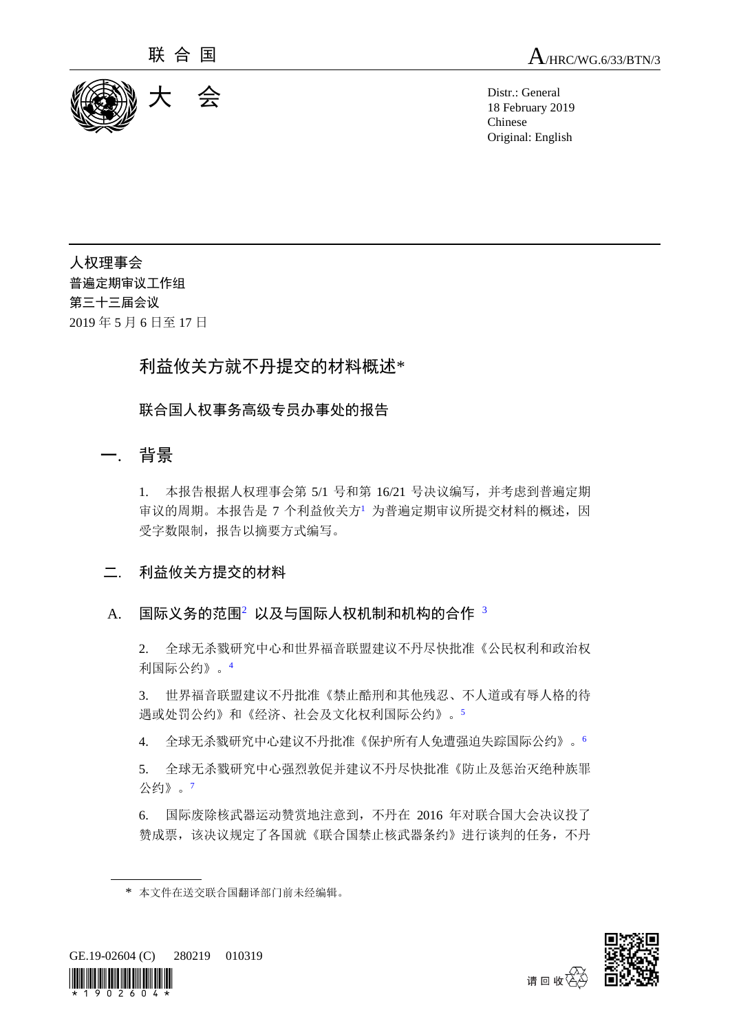

联 合 国  $A$ /HRC/WG.6/33/BTN/3

18 February 2019 Chinese Original: English

人权理事会 普遍定期审议工作组 第三十三届会议 2019 年 5 月 6 日至 17 日

# 利益攸关方就不丹提交的材料概述\*

联合国人权事务高级专员办事处的报告

## 一. 背景

1. 本报告根据人权理事会第 5/1 号和第 16/21 号决议编写,并考虑到普遍定期 审议的周期。本报告是 7 个利益攸关方<sup>1</sup> 为普遍定期审议所提交材料的概述, 因 受字数限制,报告以摘要方式编写。

- 二. 利益攸关方提交的材料
- A. 国际义务的范围2 以及与国际人权机制和机构的合作 3

2. 全球无杀戮研究中心和世界福音联盟建议不丹尽快批准《公民权利和政治权 利国际公约》。<sup>4</sup>

3. 世界福音联盟建议不丹批准《禁止酷刑和其他残忍、不人道或有辱人格的待 遇或处罚公约》和《经济、社会及文化权利国际公约》。<sup>5</sup>

4. 全球无杀戮研究中心建议不丹批准《保护所有人免遭强迫失踪国际公约》。<sup>6</sup>

5. 全球无杀戮研究中心强烈敦促并建议不丹尽快批准《防止及惩治灭绝种族罪 公约》。<sup>7</sup>

6. 国际废除核武器运动赞赏地注意到,不丹在 2016 年对联合国大会决议投了 赞成票,该决议规定了各国就《联合国禁止核武器条约》进行谈判的任务,不丹

<sup>\*</sup> 本文件在送交联合国翻译部门前未经编辑。





请回收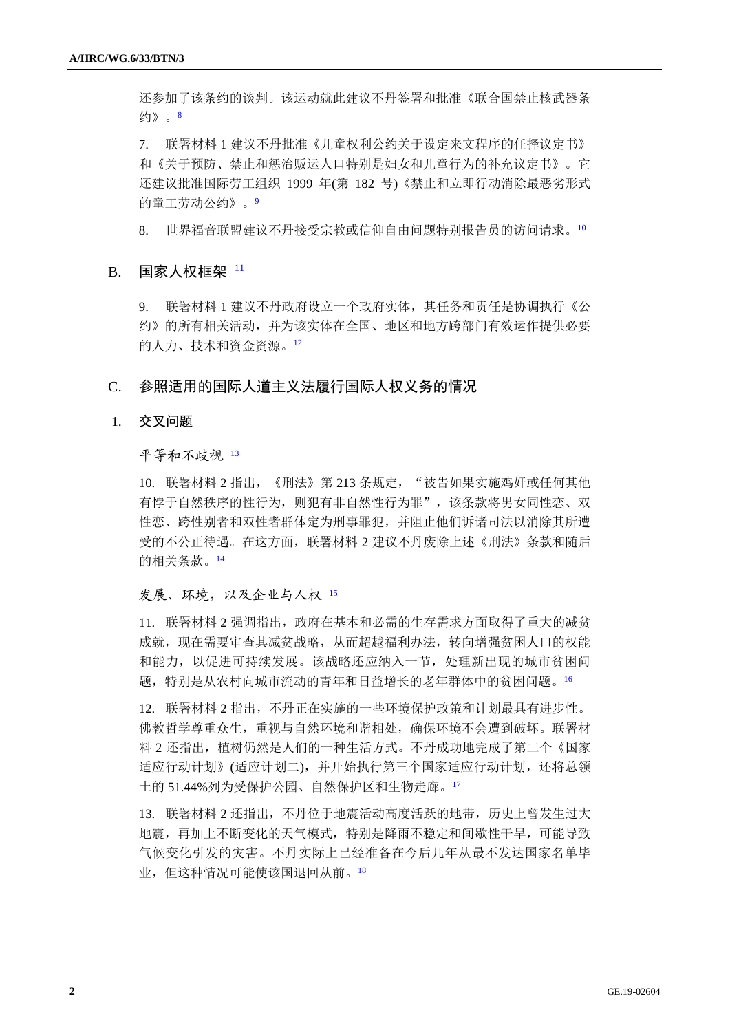还参加了该条约的谈判。该运动就此建议不丹签署和批准《联合国禁止核武器条 约》。<sup>8</sup>

7. 联署材料 1 建议不丹批准《儿童权利公约关于设定来文程序的任择议定书》 和《关于预防、禁止和惩治贩运人口特别是妇女和儿童行为的补充议定书》。它 还建议批准国际劳工组织 1999 年(第 182 号)《禁止和立即行动消除最恶劣形式 的童工劳动公约》。9

8. 世界福音联盟建议不丹接受宗教或信仰自由问题特别报告员的访问请求。<sup>10</sup>

## B. 国家人权框架  $11$

9. 联署材料 1 建议不丹政府设立一个政府实体,其任务和责任是协调执行《公 约》的所有相关活动,并为该实体在全国、地区和地方跨部门有效运作提供必要 的人力、技术和资金资源。<sup>12</sup>

## C. 参照适用的国际人道主义法履行国际人权义务的情况

## 1. 交叉问题

平等和不歧视 <sup>13</sup>

10. 联署材料 2 指出, 《刑法》第 213 条规定, "被告如果实施鸡奸或任何其他 有悖于自然秩序的性行为,则犯有非自然性行为罪",该条款将男女同性恋、双 性恋、跨性别者和双性者群体定为刑事罪犯,并阻止他们诉诸司法以消除其所遭 受的不公正待遇。在这方面,联署材料 2 建议不丹废除上述《刑法》条款和随后 的相关条款。<sup>14</sup>

## 发展、环境,以及企业与人权 <sup>15</sup>

11. 联署材料 2 强调指出,政府在基本和必需的生存需求方面取得了重大的减贫 成就,现在需要审查其减贫战略,从而超越福利办法,转向增强贫困人口的权能 和能力,以促进可持续发展。该战略还应纳入一节,处理新出现的城市贫困问 题,特别是从农村向城市流动的青年和日益增长的老年群体中的贫困问题。<sup>16</sup>

12. 联署材料 2 指出,不丹正在实施的一些环境保护政策和计划最具有进步性。 佛教哲学尊重众生,重视与自然环境和谐相处,确保环境不会遭到破坏。联署材 料 2 还指出, 植树仍然是人们的一种生活方式。不丹成功地完成了第二个《国家 适应行动计划》(适应计划二),并开始执行第三个国家适应行动计划,还将总领 土的 51.44%列为受保护公园、自然保护区和生物走廊。<sup>17</sup>

13. 联署材料 2 还指出,不丹位于地震活动高度活跃的地带,历史上曾发生过大 地震,再加上不断变化的天气模式,特别是降雨不稳定和间歇性干旱,可能导致 气候变化引发的灾害。不丹实际上已经准备在今后几年从最不发达国家名单毕 业,但这种情况可能使该国退回从前。18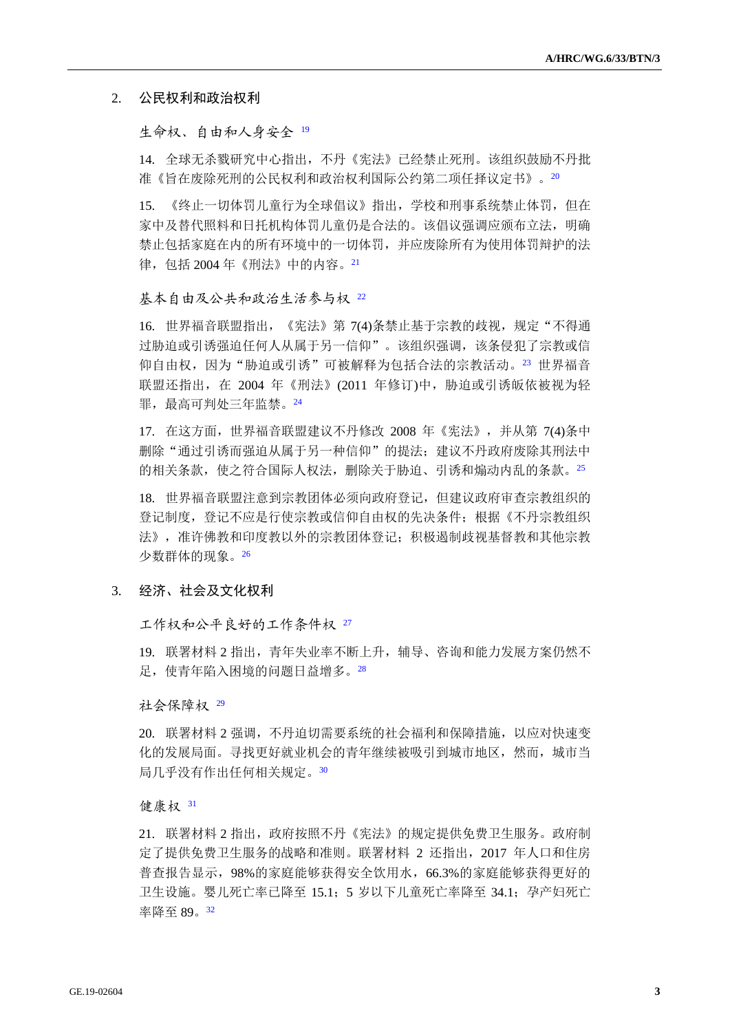## 2. 公民权利和政治权利

### 生命权、自由和人身安全 19

14. 全球无杀戮研究中心指出,不丹《宪法》已经禁止死刑。该组织鼓励不丹批 准《旨在废除死刑的公民权利和政治权利国际公约第二项任择议定书》。20

15. 《终止一切体罚儿童行为全球倡议》指出,学校和刑事系统禁止体罚,但在 家中及替代照料和日托机构体罚儿童仍是合法的。该倡议强调应颁布立法,明确 禁止包括家庭在内的所有环境中的一切体罚,并应废除所有为使用体罚辩护的法 律,包括 2004 年《刑法》中的内容。<sup>21</sup>

#### 基本自由及公共和政治生活参与权 <sup>22</sup>

16. 世界福音联盟指出,《宪法》第 7(4)条禁止基于宗教的歧视,规定"不得通 过胁迫或引诱强迫任何人从属于另一信仰"。该组织强调,该条侵犯了宗教或信 仰自由权,因为"胁迫或引诱"可被解释为包括合法的宗教活动。23 世界福音 联盟还指出, 在 2004 年《刑法》(2011 年修订)中, 胁迫或引诱皈依被视为轻 罪,最高可判处三年监禁。24

17. 在这方面,世界福音联盟建议不丹修改 2008 年《宪法》,并从第 7(4)条中 删除"通过引诱而强迫从属于另一种信仰"的提决;建议不丹政府废除其刑法中 的相关条款,使之符合国际人权法,删除关于胁迫、引诱和煽动内乱的条款。<sup>25</sup>

18. 世界福音联盟注意到宗教团体必须向政府登记,但建议政府审查宗教组织的 登记制度,登记不应是行使宗教或信仰自由权的先决条件;根据《不丹宗教组织 法》,准许佛教和印度教以外的宗教团体登记;积极遏制歧视基督教和其他宗教 少数群体的现象。<sup>26</sup>

## 3. 经济、社会及文化权利

工作权和公平良好的工作条件权 <sup>27</sup>

19. 联署材料 2 指出,青年失业率不断上升,辅导、咨询和能力发展方案仍然不 足,使青年陷入困境的问题日益增多。<sup>28</sup>

#### 社会保障权 <sup>29</sup>

20. 联署材料 2 强调,不丹迫切需要系统的社会福利和保障措施,以应对快速变 化的发展局面。寻找更好就业机会的青年继续被吸引到城市地区,然而,城市当 局几乎没有作出任何相关规定。<sup>30</sup>

#### 健康权 <sup>31</sup>

21. 联署材料 2 指出,政府按照不丹《宪法》的规定提供免费卫生服务。政府制 定了提供免费卫生服务的战略和准则。联署材料 2 还指出,2017 年人口和住房 普查报告显示,98%的家庭能够获得安全饮用水,66.3%的家庭能够获得更好的 卫生设施。婴儿死亡率已降至 15.1;5 岁以下儿童死亡率降至 34.1;孕产妇死亡 率降至 89。32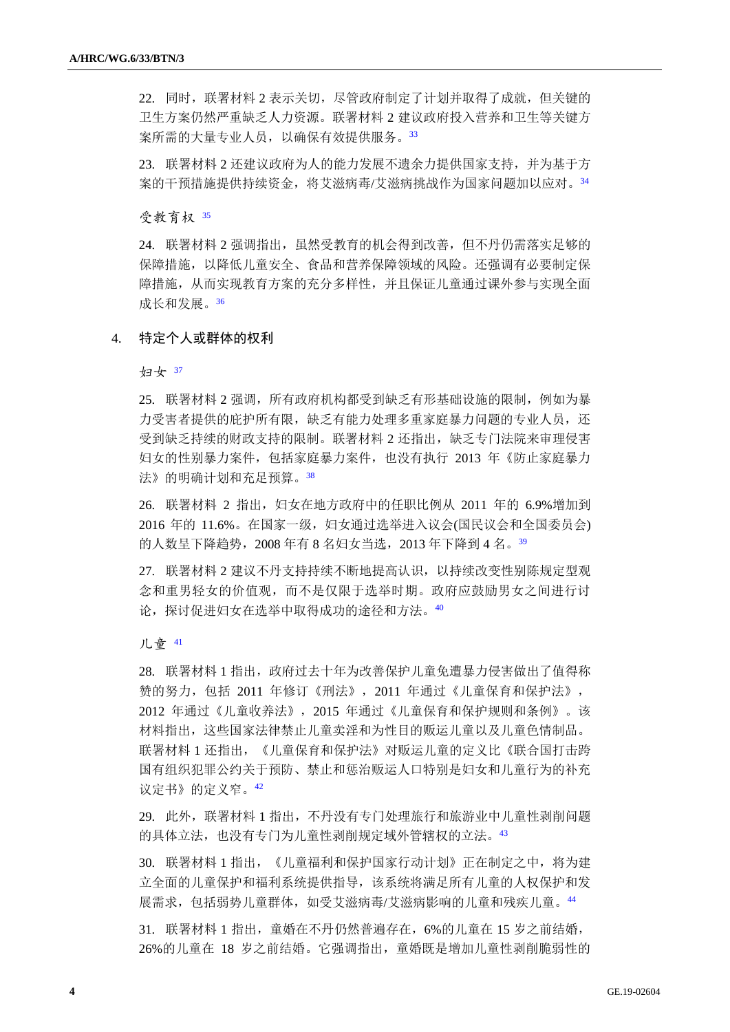22. 同时,联署材料 2 表示关切,尽管政府制定了计划并取得了成就,但关键的 卫生方案仍然严重缺乏人力资源。联署材料 2 建议政府投入营养和卫生等关键方 案所需的大量专业人员,以确保有效提供服务。33

23. 联署材料 2 还建议政府为人的能力发展不遗余力提供国家支持,并为基于方 案的干预措施提供持续资金,将艾滋病毒/艾滋病挑战作为国家问题加以应对。<sup>34</sup>

受教育权 <sup>35</sup>

24. 联署材料 2 强调指出, 虽然受教育的机会得到改善, 但不丹仍需落实足够的 保障措施,以降低儿童安全、食品和营养保障领域的风险。还强调有必要制定保 障措施,从而实现教育方案的充分多样性,并且保证儿童通过课外参与实现全面 成长和发展。<sup>36</sup>

## 4. 特定个人或群体的权利

妇女 <sup>37</sup>

25. 联署材料 2 强调,所有政府机构都受到缺乏有形基础设施的限制,例如为暴 力受害者提供的庇护所有限, 缺乏有能力处理多重家庭暴力问题的专业人员, 还 受到缺乏持续的财政支持的限制。联署材料 2 还指出,缺乏专门法院来审理侵害 妇女的性别暴力案件,包括家庭暴力案件,也没有执行 2013 年《防止家庭暴力 法》的明确计划和充足预算。<sup>38</sup>

26. 联署材料 2 指出, 妇女在地方政府中的任职比例从 2011 年的 6.9%增加到 2016 年的 11.6%。在国家一级,妇女通过选举进入议会(国民议会和全国委员会) 的人数呈下降趋势, 2008 年有 8 名妇女当选, 2013 年下降到 4 名。<sup>39</sup>

27. 联署材料 2 建议不丹支持持续不断地提高认识,以持续改变性别陈规定型观 念和重男轻女的价值观,而不是仅限于选举时期。政府应鼓励男女之间进行讨 论,探讨促进妇女在选举中取得成功的途径和方法。<sup>40</sup>

### 儿童 <sup>41</sup>

28. 联署材料 1 指出,政府过去十年为改善保护儿童免遭暴力侵害做出了值得称 赞的努力,包括 2011 年修订《刑法》,2011 年通过《儿童保育和保护法》, 2012 年通过《儿童收养法》,2015 年通过《儿童保育和保护规则和条例》。该 材料指出,这些国家法律禁止儿童卖淫和为性目的贩运儿童以及儿童色情制品。 联署材料 1 还指出, 《儿童保育和保护法》对贩运儿童的定义比《联合国打击跨 国有组织犯罪公约关于预防、禁止和惩治贩运人口特别是妇女和儿童行为的补充 议定书》的定义窄。<sup>42</sup>

29. 此外,联署材料 1 指出,不丹没有专门处理旅行和旅游业中儿童性剥削问题 的具体立法,也没有专门为儿童性剥削规定域外管辖权的立法。<sup>43</sup>

30. 联署材料 1 指出,《儿童福利和保护国家行动计划》正在制定之中,将为建 立全面的儿童保护和福利系统提供指导,该系统将满足所有儿童的人权保护和发 展需求,包括弱势儿童群体,如受艾滋病毒/艾滋病影响的儿童和残疾儿童。<sup>44</sup>

31. 联署材料 1 指出,童婚在不丹仍然普遍存在,6%的儿童在 15 岁之前结婚, 26%的儿童在 18 岁之前结婚。它强调指出,童婚既是增加儿童性剥削脆弱性的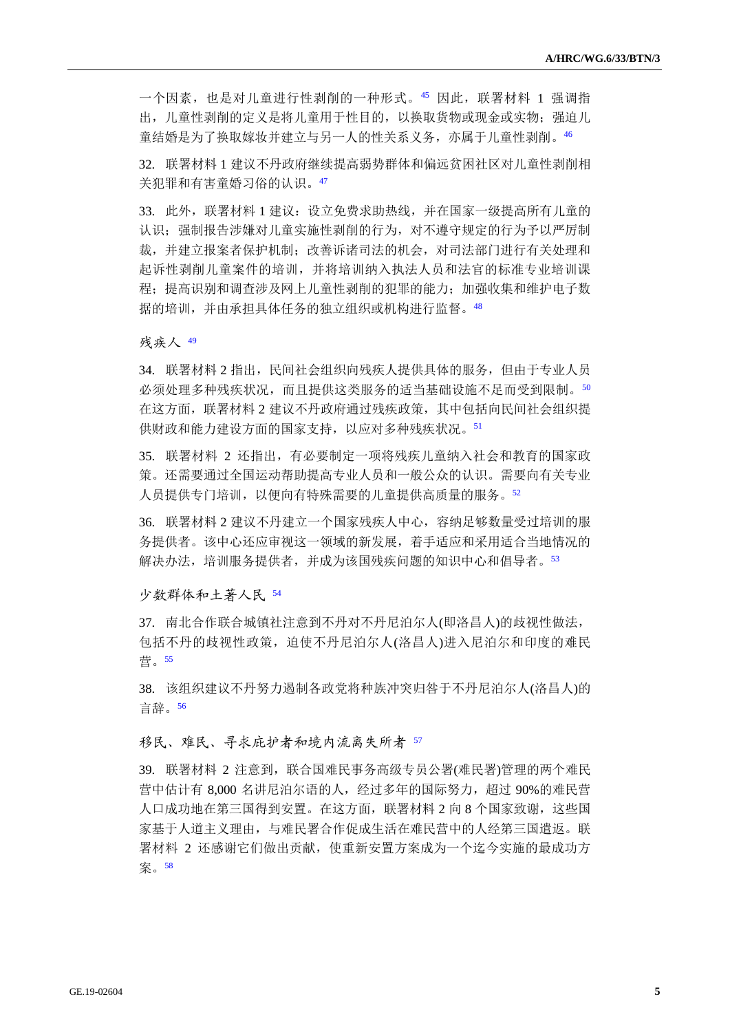一个因素,也是对儿童进行性剥削的一种形式。<sup>45</sup> 因此,联署材料 1 强调指 出,儿童性剥削的定义是将儿童用于性目的,以换取货物或现金或实物;强迫儿 童结婚是为了换取嫁妆并建立与另一人的性关系义务,亦属于儿童性剥削。<sup>46</sup>

32. 联署材料 1 建议不丹政府继续提高弱势群体和偏远贫困社区对儿童性剥削相 关犯罪和有害童婚习俗的认识。<sup>47</sup>

33. 此外,联署材料 1 建议:设立免费求助热线,并在国家一级提高所有儿童的 认识;强制报告涉嫌对儿童实施性剥削的行为,对不遵守规定的行为予以严厉制 裁,并建立报案者保护机制;改善诉诸司法的机会,对司法部门进行有关处理和 起诉性剥削儿童案件的培训,并将培训纳入执法人员和法官的标准专业培训课 程;提高识别和调查涉及网上儿童性剥削的犯罪的能力;加强收集和维护电子数 据的培训,并由承担具体任务的独立组织或机构进行监督。<sup>48</sup>

残疾人 <sup>49</sup>

34. 联署材料 2 指出,民间社会组织向残疾人提供具体的服务,但由于专业人员 必须处理多种残疾状况,而且提供这类服务的适当基础设施不足而受到限制。<sup>50</sup> 在这方面,联署材料 2 建议不丹政府通过残疾政策,其中包括向民间社会组织提 供财政和能力建设方面的国家支持,以应对多种残疾状况。<sup>51</sup>

35. 联署材料 2 还指出,有必要制定一项将残疾儿童纳入社会和教育的国家政 策。还需要通过全国运动帮助提高专业人员和一般公众的认识。需要向有关专业 人员提供专门培训,以便向有特殊需要的儿童提供高质量的服务。<sup>52</sup>

36. 联署材料 2 建议不丹建立一个国家残疾人中心,容纳足够数量受过培训的服 务提供者。该中心还应审视这一领域的新发展,着手适应和采用适合当地情况的 解决办法,培训服务提供者,并成为该国残疾问题的知识中心和倡导者。53

少数群体和土著人民 <sup>54</sup>

37. 南北合作联合城镇社注意到不丹对不丹尼泊尔人(即洛昌人)的歧视性做法, 包括不丹的歧视性政策,迫使不丹尼泊尔人(洛昌人)进入尼泊尔和印度的难民 营。<sup>55</sup>

38. 该组织建议不丹努力遏制各政党将种族冲突归咎于不丹尼泊尔人(洛昌人)的 言辞。<sup>56</sup>

移民、难民、寻求庇护者和境内流离失所者 <sup>57</sup>

39. 联署材料 2 注意到, 联合国难民事务高级专员公署(难民署)管理的两个难民 营中估计有 8,000 名讲尼泊尔语的人,经过多年的国际努力,超过 90%的难民营 人口成功地在第三国得到安置。在这方面,联署材料 2 向 8 个国家致谢,这些国 家基于人道主义理由,与难民署合作促成生活在难民营中的人经第三国遣返。联 署材料 2 还感谢它们做出贡献,使重新安置方案成为一个迄今实施的最成功方 案。58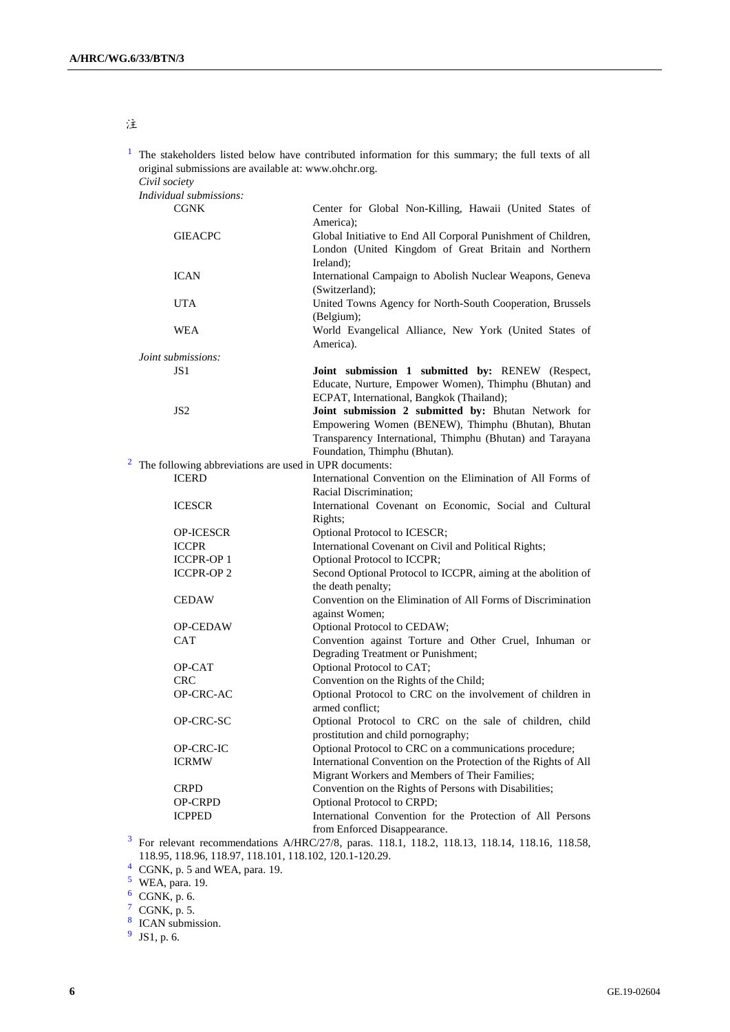## 注

<sup>1</sup> The stakeholders listed below have contributed information for this summary; the full texts of all original submissions are available at: [www.ohchr.org.](http://www.ohchr.org/)

*Civil society*

| <i>Individual submissions:</i>                         |                                                                                                                                                                                                         |
|--------------------------------------------------------|---------------------------------------------------------------------------------------------------------------------------------------------------------------------------------------------------------|
| <b>CGNK</b>                                            | Center for Global Non-Killing, Hawaii (United States of<br>America);                                                                                                                                    |
| <b>GIEACPC</b>                                         | Global Initiative to End All Corporal Punishment of Children,<br>London (United Kingdom of Great Britain and Northern<br>Ireland);                                                                      |
| <b>ICAN</b>                                            | International Campaign to Abolish Nuclear Weapons, Geneva<br>(Switzerland);                                                                                                                             |
| UTA                                                    | United Towns Agency for North-South Cooperation, Brussels<br>(Belgium);                                                                                                                                 |
| <b>WEA</b>                                             | World Evangelical Alliance, New York (United States of<br>America).                                                                                                                                     |
| Joint submissions:                                     |                                                                                                                                                                                                         |
| JS1                                                    | Joint submission 1 submitted by: RENEW (Respect,<br>Educate, Nurture, Empower Women), Thimphu (Bhutan) and<br>ECPAT, International, Bangkok (Thailand);                                                 |
| JS <sub>2</sub>                                        | Joint submission 2 submitted by: Bhutan Network for<br>Empowering Women (BENEW), Thimphu (Bhutan), Bhutan<br>Transparency International, Thimphu (Bhutan) and Tarayana<br>Foundation, Thimphu (Bhutan). |
| The following abbreviations are used in UPR documents: |                                                                                                                                                                                                         |
| <b>ICERD</b>                                           | International Convention on the Elimination of All Forms of<br>Racial Discrimination:                                                                                                                   |
| <b>ICESCR</b>                                          | International Covenant on Economic, Social and Cultural<br>Rights;                                                                                                                                      |
| <b>OP-ICESCR</b>                                       | Optional Protocol to ICESCR;                                                                                                                                                                            |
| <b>ICCPR</b>                                           | International Covenant on Civil and Political Rights;                                                                                                                                                   |
| <b>ICCPR-OP1</b>                                       | Optional Protocol to ICCPR;                                                                                                                                                                             |
| <b>ICCPR-OP2</b>                                       | Second Optional Protocol to ICCPR, aiming at the abolition of<br>the death penalty;                                                                                                                     |
| <b>CEDAW</b>                                           | Convention on the Elimination of All Forms of Discrimination<br>against Women;                                                                                                                          |
| <b>OP-CEDAW</b>                                        | Optional Protocol to CEDAW;                                                                                                                                                                             |
| CAT                                                    | Convention against Torture and Other Cruel, Inhuman or<br>Degrading Treatment or Punishment;                                                                                                            |
| OP-CAT                                                 | Optional Protocol to CAT;                                                                                                                                                                               |
| <b>CRC</b>                                             | Convention on the Rights of the Child;                                                                                                                                                                  |
| OP-CRC-AC                                              | Optional Protocol to CRC on the involvement of children in<br>armed conflict;                                                                                                                           |
| OP-CRC-SC                                              | Optional Protocol to CRC on the sale of children, child<br>prostitution and child pornography;                                                                                                          |
| OP-CRC-IC                                              | Optional Protocol to CRC on a communications procedure;                                                                                                                                                 |
| <b>ICRMW</b>                                           | International Convention on the Protection of the Rights of All<br>Migrant Workers and Members of Their Families;                                                                                       |
| <b>CRPD</b>                                            | Convention on the Rights of Persons with Disabilities;                                                                                                                                                  |
| <b>OP-CRPD</b>                                         | Optional Protocol to CRPD;                                                                                                                                                                              |
| <b>ICPPED</b>                                          | International Convention for the Protection of All Persons                                                                                                                                              |
|                                                        | from Enforced Disappearance.                                                                                                                                                                            |
|                                                        | $n \text{ or } 1101110011012110141101611050$<br>ATIDC/27/8                                                                                                                                              |

 $3$  For relevant recommendations A/HRC/27/8, paras. 118.1, 118.2, 118.13, 118.14, 118.16, 118.58, 118.95, 118.96, 118.97, 118.101, 118.102, 120.1-120.29.

 $4$  CGNK, p. 5 and WEA, para. 19.

 $5$  WEA, para. 19.

 $6$  CGNK, p. 6.

 $\frac{7}{8}$  CGNK, p. 5.<br>
CAN submission.

 $9$  JS1, p. 6.